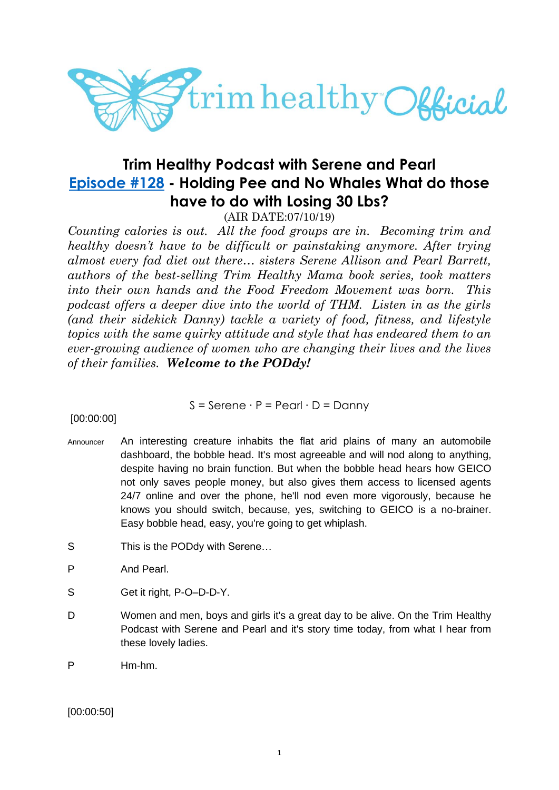

# **Trim Healthy Podcast with Serene and Pearl [Episode #128](https://cms.megaphone.fm/channel/trimhealthypodcast?selected=ADL6519363226) - Holding Pee and No Whales What do those have to do with Losing 30 Lbs?**

(AIR DATE:07/10/19)

*Counting calories is out. All the food groups are in. Becoming trim and healthy doesn't have to be difficult or painstaking anymore. After trying almost every fad diet out there… sisters Serene Allison and Pearl Barrett, authors of the best-selling Trim Healthy Mama book series, took matters into their own hands and the Food Freedom Movement was born. This podcast offers a deeper dive into the world of THM. Listen in as the girls (and their sidekick Danny) tackle a variety of food, fitness, and lifestyle topics with the same quirky attitude and style that has endeared them to an ever-growing audience of women who are changing their lives and the lives of their families. Welcome to the PODdy!*

$$
S =
$$
Serene · P = Pearl · D = Danny

## [00:00:00]

- Announcer An interesting creature inhabits the flat arid plains of many an automobile dashboard, the bobble head. It's most agreeable and will nod along to anything, despite having no brain function. But when the bobble head hears how GEICO not only saves people money, but also gives them access to licensed agents 24/7 online and over the phone, he'll nod even more vigorously, because he knows you should switch, because, yes, switching to GEICO is a no-brainer. Easy bobble head, easy, you're going to get whiplash.
- S This is the PODdy with Serene...
- P And Pearl.
- S Get it right, P-O-D-D-Y.
- D Women and men, boys and girls it's a great day to be alive. On the Trim Healthy Podcast with Serene and Pearl and it's story time today, from what I hear from these lovely ladies.
- P Hm-hm.

[00:00:50]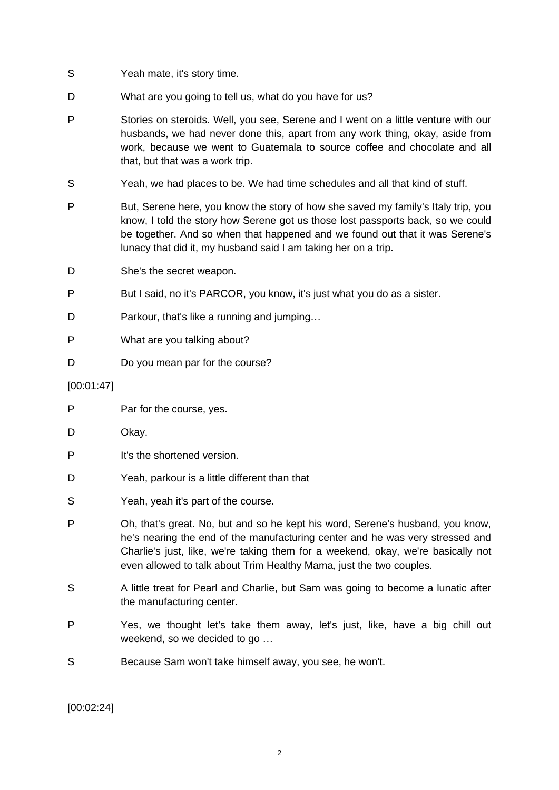- S Yeah mate, it's story time.
- D What are you going to tell us, what do you have for us?
- P Stories on steroids. Well, you see, Serene and I went on a little venture with our husbands, we had never done this, apart from any work thing, okay, aside from work, because we went to Guatemala to source coffee and chocolate and all that, but that was a work trip.
- S Yeah, we had places to be. We had time schedules and all that kind of stuff.
- P But, Serene here, you know the story of how she saved my family's Italy trip, you know, I told the story how Serene got us those lost passports back, so we could be together. And so when that happened and we found out that it was Serene's lunacy that did it, my husband said I am taking her on a trip.
- D She's the secret weapon.
- P But I said, no it's PARCOR, you know, it's just what you do as a sister.
- D Parkour, that's like a running and jumping...
- P What are you talking about?
- D Do you mean par for the course?

#### [00:01:47]

- P Par for the course, yes.
- D Okay.
- P It's the shortened version.
- D Yeah, parkour is a little different than that
- S Yeah, yeah it's part of the course.
- P Oh, that's great. No, but and so he kept his word, Serene's husband, you know, he's nearing the end of the manufacturing center and he was very stressed and Charlie's just, like, we're taking them for a weekend, okay, we're basically not even allowed to talk about Trim Healthy Mama, just the two couples.
- S A little treat for Pearl and Charlie, but Sam was going to become a lunatic after the manufacturing center.
- P Yes, we thought let's take them away, let's just, like, have a big chill out weekend, so we decided to go …
- S Because Sam won't take himself away, you see, he won't.

[00:02:24]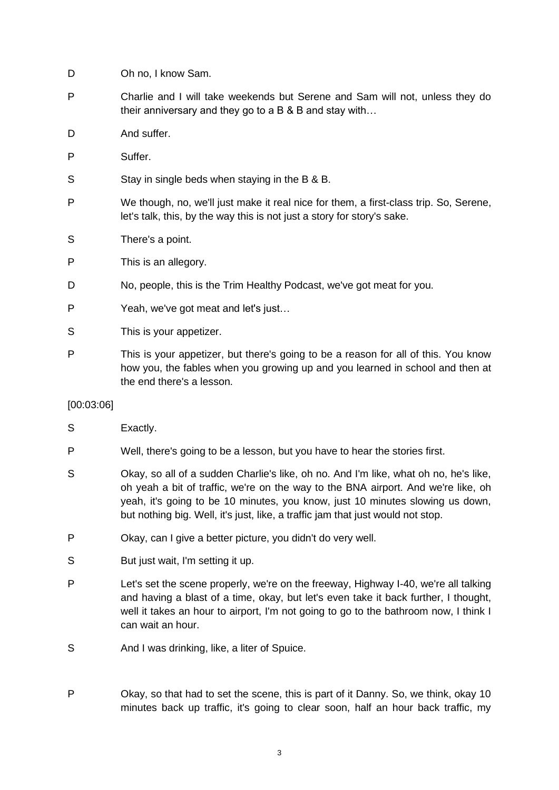- D Oh no, I know Sam.
- P Charlie and I will take weekends but Serene and Sam will not, unless they do their anniversary and they go to a B & B and stay with…
- D And suffer.
- P Suffer.
- S Stay in single beds when staying in the B & B.
- P We though, no, we'll just make it real nice for them, a first-class trip. So, Serene, let's talk, this, by the way this is not just a story for story's sake.
- S There's a point.
- P This is an allegory.
- D No, people, this is the Trim Healthy Podcast, we've got meat for you.
- P Yeah, we've got meat and let's just…
- S This is your appetizer.
- P This is your appetizer, but there's going to be a reason for all of this. You know how you, the fables when you growing up and you learned in school and then at the end there's a lesson.

## [00:03:06]

- S **Exactly**.
- P Well, there's going to be a lesson, but you have to hear the stories first.
- S Okay, so all of a sudden Charlie's like, oh no. And I'm like, what oh no, he's like, oh yeah a bit of traffic, we're on the way to the BNA airport. And we're like, oh yeah, it's going to be 10 minutes, you know, just 10 minutes slowing us down, but nothing big. Well, it's just, like, a traffic jam that just would not stop.
- P Okay, can I give a better picture, you didn't do very well.
- S But just wait, I'm setting it up.
- P Let's set the scene properly, we're on the freeway, Highway I-40, we're all talking and having a blast of a time, okay, but let's even take it back further, I thought, well it takes an hour to airport, I'm not going to go to the bathroom now, I think I can wait an hour.
- S And I was drinking, like, a liter of Spuice.
- P Okay, so that had to set the scene, this is part of it Danny. So, we think, okay 10 minutes back up traffic, it's going to clear soon, half an hour back traffic, my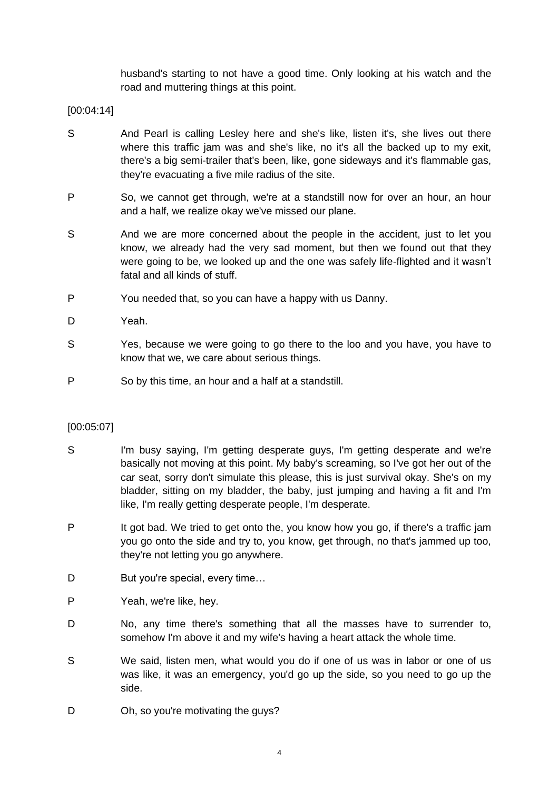husband's starting to not have a good time. Only looking at his watch and the road and muttering things at this point.

[00:04:14]

- S And Pearl is calling Lesley here and she's like, listen it's, she lives out there where this traffic jam was and she's like, no it's all the backed up to my exit, there's a big semi-trailer that's been, like, gone sideways and it's flammable gas, they're evacuating a five mile radius of the site.
- P So, we cannot get through, we're at a standstill now for over an hour, an hour and a half, we realize okay we've missed our plane.
- S And we are more concerned about the people in the accident, just to let you know, we already had the very sad moment, but then we found out that they were going to be, we looked up and the one was safely life-flighted and it wasn't fatal and all kinds of stuff.
- P You needed that, so you can have a happy with us Danny.
- D Yeah.
- S Yes, because we were going to go there to the loo and you have, you have to know that we, we care about serious things.
- P So by this time, an hour and a half at a standstill.

# [00:05:07]

- S I'm busy saying, I'm getting desperate guys, I'm getting desperate and we're basically not moving at this point. My baby's screaming, so I've got her out of the car seat, sorry don't simulate this please, this is just survival okay. She's on my bladder, sitting on my bladder, the baby, just jumping and having a fit and I'm like, I'm really getting desperate people, I'm desperate.
- P It got bad. We tried to get onto the, you know how you go, if there's a traffic jam you go onto the side and try to, you know, get through, no that's jammed up too, they're not letting you go anywhere.
- D But you're special, every time...
- P Yeah, we're like, hey.
- D No, any time there's something that all the masses have to surrender to, somehow I'm above it and my wife's having a heart attack the whole time.
- S We said, listen men, what would you do if one of us was in labor or one of us was like, it was an emergency, you'd go up the side, so you need to go up the side.
- D Oh, so you're motivating the guys?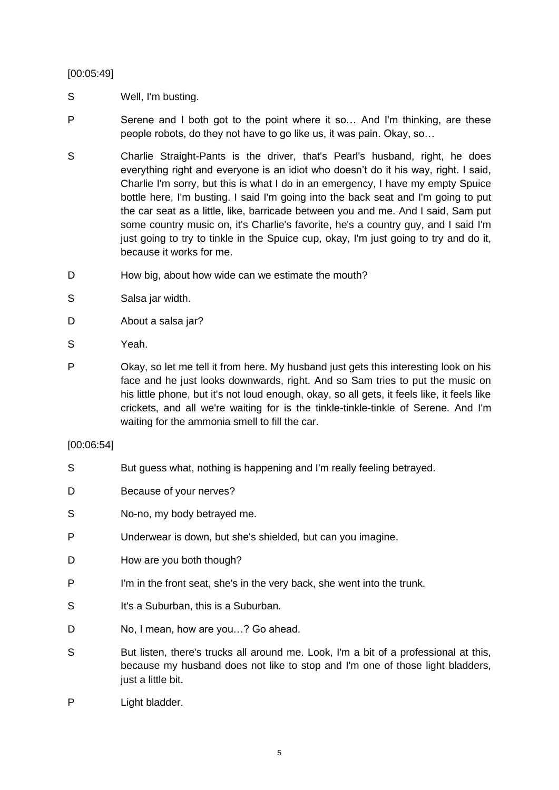[00:05:49]

- S Well, I'm busting.
- P Serene and I both got to the point where it so… And I'm thinking, are these people robots, do they not have to go like us, it was pain. Okay, so…
- S Charlie Straight-Pants is the driver, that's Pearl's husband, right, he does everything right and everyone is an idiot who doesn't do it his way, right. I said, Charlie I'm sorry, but this is what I do in an emergency, I have my empty Spuice bottle here, I'm busting. I said I'm going into the back seat and I'm going to put the car seat as a little, like, barricade between you and me. And I said, Sam put some country music on, it's Charlie's favorite, he's a country guy, and I said I'm just going to try to tinkle in the Spuice cup, okay, I'm just going to try and do it, because it works for me.
- D How big, about how wide can we estimate the mouth?
- S Salsa jar width.
- D About a salsa jar?
- S Yeah.
- P Okay, so let me tell it from here. My husband just gets this interesting look on his face and he just looks downwards, right. And so Sam tries to put the music on his little phone, but it's not loud enough, okay, so all gets, it feels like, it feels like crickets, and all we're waiting for is the tinkle-tinkle-tinkle of Serene. And I'm waiting for the ammonia smell to fill the car.

## [00:06:54]

- S But guess what, nothing is happening and I'm really feeling betrayed.
- D Because of your nerves?
- S No-no, my body betrayed me.
- P Underwear is down, but she's shielded, but can you imagine.
- D How are you both though?
- P I'm in the front seat, she's in the very back, she went into the trunk.
- S It's a Suburban, this is a Suburban.
- D No, I mean, how are you...? Go ahead.
- S But listen, there's trucks all around me. Look, I'm a bit of a professional at this, because my husband does not like to stop and I'm one of those light bladders, just a little bit.
- P Light bladder.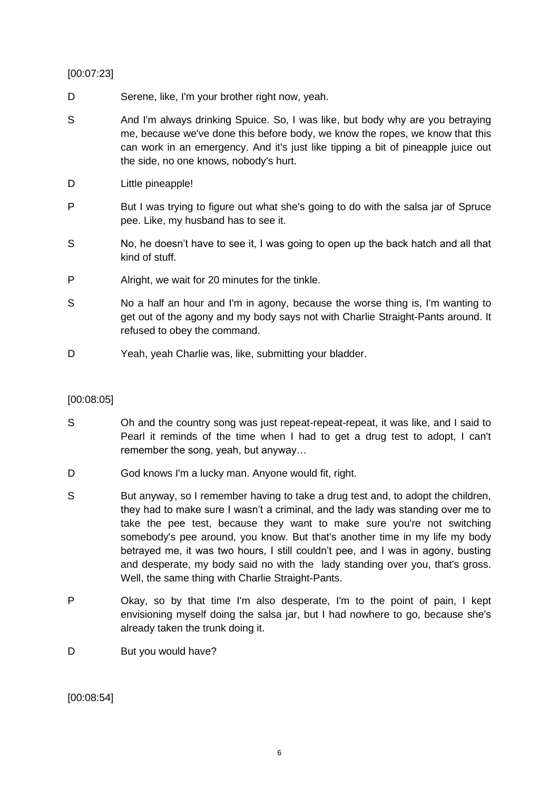# [00:07:23]

- D Serene, like, I'm your brother right now, yeah.
- S And I'm always drinking Spuice, So, I was like, but body why are you betraying me, because we've done this before body, we know the ropes, we know that this can work in an emergency. And it's just like tipping a bit of pineapple juice out the side, no one knows, nobody's hurt.
- D Little pineapple!
- P But I was trying to figure out what she's going to do with the salsa jar of Spruce pee. Like, my husband has to see it.
- S No, he doesn't have to see it, I was going to open up the back hatch and all that kind of stuff.
- P Alright, we wait for 20 minutes for the tinkle.
- S No a half an hour and I'm in agony, because the worse thing is, I'm wanting to get out of the agony and my body says not with Charlie Straight-Pants around. It refused to obey the command.
- D Yeah, yeah Charlie was, like, submitting your bladder.

# [00:08:05]

- S Oh and the country song was just repeat-repeat-repeat, it was like, and I said to Pearl it reminds of the time when I had to get a drug test to adopt, I can't remember the song, yeah, but anyway…
- D God knows I'm a lucky man. Anyone would fit, right.
- S But anyway, so I remember having to take a drug test and, to adopt the children, they had to make sure I wasn't a criminal, and the lady was standing over me to take the pee test, because they want to make sure you're not switching somebody's pee around, you know. But that's another time in my life my body betrayed me, it was two hours, I still couldn't pee, and I was in agony, busting and desperate, my body said no with the lady standing over you, that's gross. Well, the same thing with Charlie Straight-Pants.
- P Okay, so by that time I'm also desperate, I'm to the point of pain, I kept envisioning myself doing the salsa jar, but I had nowhere to go, because she's already taken the trunk doing it.
- D But you would have?

[00:08:54]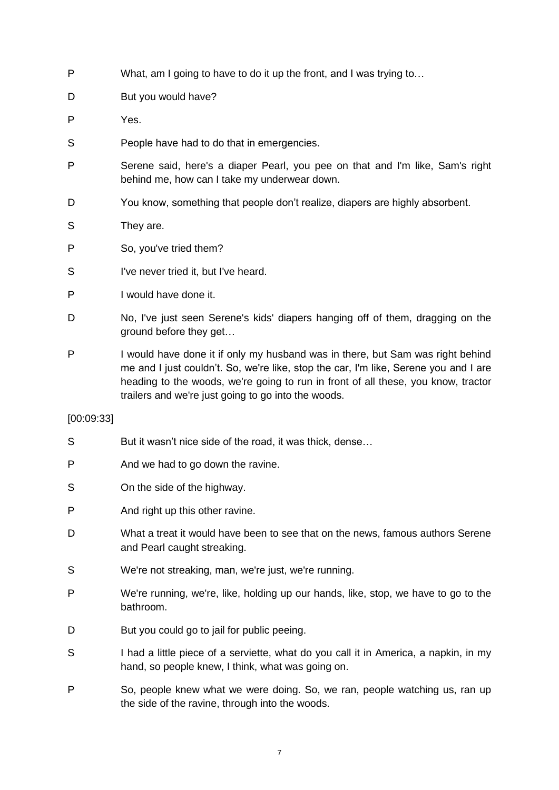- P What, am I going to have to do it up the front, and I was trying to…
- D But you would have?
- P Yes.
- S People have had to do that in emergencies.
- P Serene said, here's a diaper Pearl, you pee on that and I'm like, Sam's right behind me, how can I take my underwear down.
- D You know, something that people don't realize, diapers are highly absorbent.
- S They are.
- P So, you've tried them?
- S I've never tried it, but I've heard.
- P I would have done it.
- D No, I've just seen Serene's kids' diapers hanging off of them, dragging on the ground before they get…
- P I would have done it if only my husband was in there, but Sam was right behind me and I just couldn't. So, we're like, stop the car, I'm like, Serene you and I are heading to the woods, we're going to run in front of all these, you know, tractor trailers and we're just going to go into the woods.

## [00:09:33]

- S But it wasn't nice side of the road, it was thick, dense...
- P And we had to go down the ravine.
- S On the side of the highway.
- P And right up this other ravine.
- D What a treat it would have been to see that on the news, famous authors Serene and Pearl caught streaking.
- S We're not streaking, man, we're just, we're running.
- P We're running, we're, like, holding up our hands, like, stop, we have to go to the bathroom.
- D But you could go to jail for public peeing.
- S I had a little piece of a serviette, what do you call it in America, a napkin, in my hand, so people knew, I think, what was going on.
- P So, people knew what we were doing. So, we ran, people watching us, ran up the side of the ravine, through into the woods.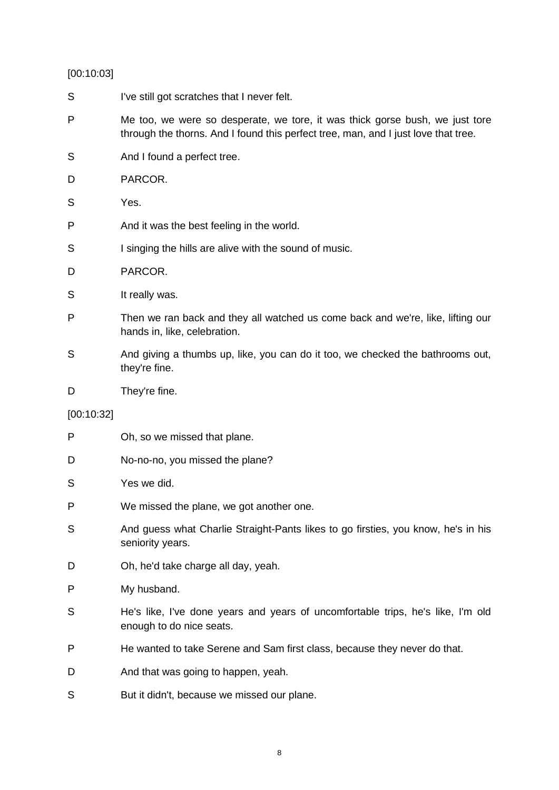## [00:10:03]

- S I've still got scratches that I never felt.
- P Me too, we were so desperate, we tore, it was thick gorse bush, we just tore through the thorns. And I found this perfect tree, man, and I just love that tree.
- S And I found a perfect tree.
- D PARCOR.
- S Yes.
- P And it was the best feeling in the world.
- S I singing the hills are alive with the sound of music.
- D PARCOR.
- S It really was.
- P Then we ran back and they all watched us come back and we're, like, lifting our hands in, like, celebration.
- S And giving a thumbs up, like, you can do it too, we checked the bathrooms out, they're fine.
- D They're fine.

## [00:10:32]

- P Oh, so we missed that plane.
- D No-no-no, you missed the plane?
- S Yes we did.
- P We missed the plane, we got another one.
- S And guess what Charlie Straight-Pants likes to go firsties, you know, he's in his seniority years.
- D Oh, he'd take charge all day, yeah.
- P My husband.
- S He's like, I've done years and years of uncomfortable trips, he's like, I'm old enough to do nice seats.
- P He wanted to take Serene and Sam first class, because they never do that.
- D And that was going to happen, yeah.
- S But it didn't, because we missed our plane.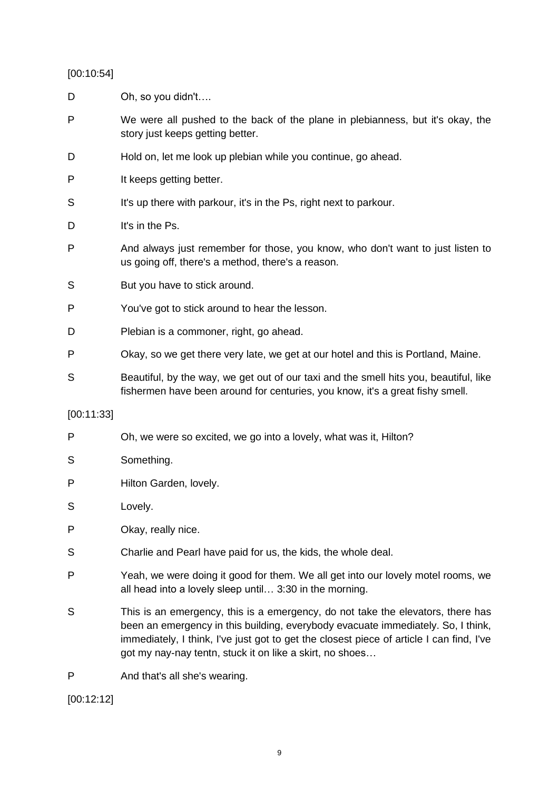## [00:10:54]

D Oh, so you didn't….

- P We were all pushed to the back of the plane in plebianness, but it's okay, the story just keeps getting better.
- D Hold on, let me look up plebian while you continue, go ahead.
- P It keeps getting better.
- S It's up there with parkour, it's in the Ps, right next to parkour.
- D It's in the Ps.
- P And always just remember for those, you know, who don't want to just listen to us going off, there's a method, there's a reason.
- S But you have to stick around.
- P You've got to stick around to hear the lesson.
- D Plebian is a commoner, right, go ahead.
- P Okay, so we get there very late, we get at our hotel and this is Portland, Maine.
- S Beautiful, by the way, we get out of our taxi and the smell hits you, beautiful, like fishermen have been around for centuries, you know, it's a great fishy smell.

## [00:11:33]

- P Oh, we were so excited, we go into a lovely, what was it, Hilton?
- S Something.
- P Hilton Garden, lovely.
- S Lovely.
- P Okay, really nice.
- S Charlie and Pearl have paid for us, the kids, the whole deal.
- P Yeah, we were doing it good for them. We all get into our lovely motel rooms, we all head into a lovely sleep until… 3:30 in the morning.
- S This is an emergency, this is a emergency, do not take the elevators, there has been an emergency in this building, everybody evacuate immediately. So, I think, immediately, I think, I've just got to get the closest piece of article I can find, I've got my nay-nay tentn, stuck it on like a skirt, no shoes…
- P And that's all she's wearing.

[00:12:12]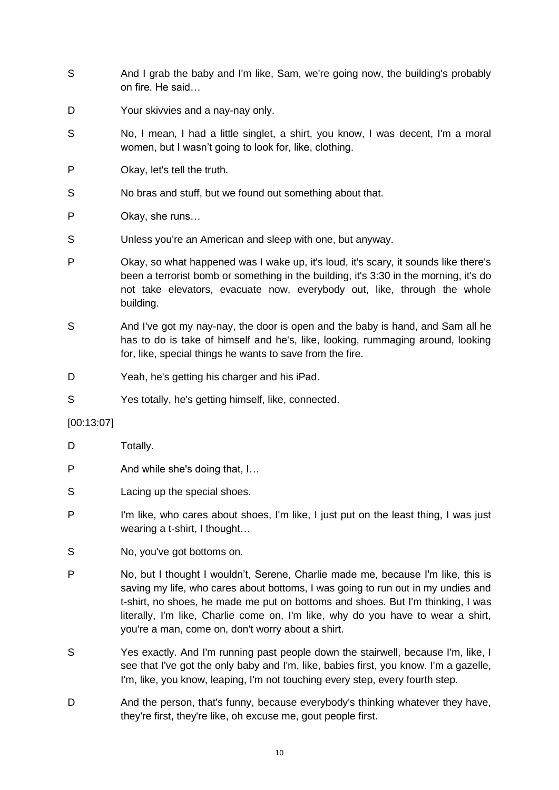- S And I grab the baby and I'm like, Sam, we're going now, the building's probably on fire. He said…
- D Your skivvies and a nay-nay only.
- S No, I mean, I had a little singlet, a shirt, you know, I was decent, I'm a moral women, but I wasn't going to look for, like, clothing.
- P Okay, let's tell the truth.
- S No bras and stuff, but we found out something about that.
- P Okay, she runs…
- S Unless you're an American and sleep with one, but anyway.
- P Okay, so what happened was I wake up, it's loud, it's scary, it sounds like there's been a terrorist bomb or something in the building, it's 3:30 in the morning, it's do not take elevators, evacuate now, everybody out, like, through the whole building.
- S And I've got my nay-nay, the door is open and the baby is hand, and Sam all he has to do is take of himself and he's, like, looking, rummaging around, looking for, like, special things he wants to save from the fire.
- D Yeah, he's getting his charger and his iPad.
- S Yes totally, he's getting himself, like, connected.

## [00:13:07]

- D Totally.
- P And while she's doing that, I...
- S Lacing up the special shoes.
- P I'm like, who cares about shoes, I'm like, I just put on the least thing, I was just wearing a t-shirt, I thought…
- S No, you've got bottoms on.
- P No, but I thought I wouldn't, Serene, Charlie made me, because I'm like, this is saving my life, who cares about bottoms, I was going to run out in my undies and t-shirt, no shoes, he made me put on bottoms and shoes. But I'm thinking, I was literally, I'm like, Charlie come on, I'm like, why do you have to wear a shirt, you're a man, come on, don't worry about a shirt.
- S Yes exactly. And I'm running past people down the stairwell, because I'm, like, I see that I've got the only baby and I'm, like, babies first, you know. I'm a gazelle, I'm, like, you know, leaping, I'm not touching every step, every fourth step.
- D And the person, that's funny, because everybody's thinking whatever they have, they're first, they're like, oh excuse me, gout people first.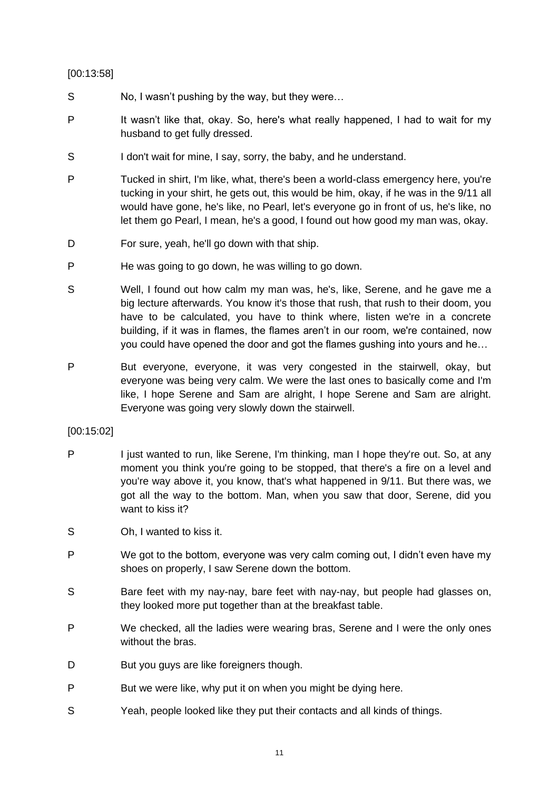## [00:13:58]

- S No, I wasn't pushing by the way, but they were...
- P It wasn't like that, okay. So, here's what really happened, I had to wait for my husband to get fully dressed.
- S I don't wait for mine, I say, sorry, the baby, and he understand.
- P Tucked in shirt, I'm like, what, there's been a world-class emergency here, you're tucking in your shirt, he gets out, this would be him, okay, if he was in the 9/11 all would have gone, he's like, no Pearl, let's everyone go in front of us, he's like, no let them go Pearl, I mean, he's a good, I found out how good my man was, okay.
- D For sure, yeah, he'll go down with that ship.
- P He was going to go down, he was willing to go down.
- S Well, I found out how calm my man was, he's, like, Serene, and he gave me a big lecture afterwards. You know it's those that rush, that rush to their doom, you have to be calculated, you have to think where, listen we're in a concrete building, if it was in flames, the flames aren't in our room, we're contained, now you could have opened the door and got the flames gushing into yours and he…
- P But everyone, everyone, it was very congested in the stairwell, okay, but everyone was being very calm. We were the last ones to basically come and I'm like, I hope Serene and Sam are alright, I hope Serene and Sam are alright. Everyone was going very slowly down the stairwell.

[00:15:02]

- P I just wanted to run, like Serene, I'm thinking, man I hope they're out. So, at any moment you think you're going to be stopped, that there's a fire on a level and you're way above it, you know, that's what happened in 9/11. But there was, we got all the way to the bottom. Man, when you saw that door, Serene, did you want to kiss it?
- S Oh, I wanted to kiss it.
- P We got to the bottom, everyone was very calm coming out, I didn't even have my shoes on properly, I saw Serene down the bottom.
- S Bare feet with my nay-nay, bare feet with nay-nay, but people had glasses on, they looked more put together than at the breakfast table.
- P We checked, all the ladies were wearing bras, Serene and I were the only ones without the bras.
- D But you guys are like foreigners though.
- P But we were like, why put it on when you might be dying here.
- S Yeah, people looked like they put their contacts and all kinds of things.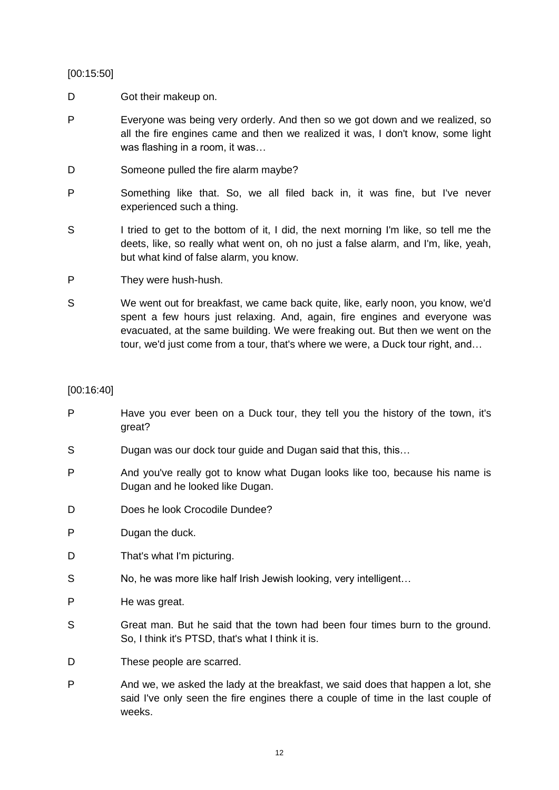## [00:15:50]

- D Got their makeup on.
- P Everyone was being very orderly. And then so we got down and we realized, so all the fire engines came and then we realized it was, I don't know, some light was flashing in a room, it was…
- D Someone pulled the fire alarm maybe?
- P Something like that. So, we all filed back in, it was fine, but I've never experienced such a thing.
- S I tried to get to the bottom of it, I did, the next morning I'm like, so tell me the deets, like, so really what went on, oh no just a false alarm, and I'm, like, yeah, but what kind of false alarm, you know.
- P They were hush-hush.
- S We went out for breakfast, we came back quite, like, early noon, you know, we'd spent a few hours just relaxing. And, again, fire engines and everyone was evacuated, at the same building. We were freaking out. But then we went on the tour, we'd just come from a tour, that's where we were, a Duck tour right, and…

## [00:16:40]

- P Have you ever been on a Duck tour, they tell you the history of the town, it's great?
- S Dugan was our dock tour guide and Dugan said that this, this...
- P And you've really got to know what Dugan looks like too, because his name is Dugan and he looked like Dugan.
- D Does he look Crocodile Dundee?
- P Dugan the duck.
- D That's what I'm picturing.
- S No, he was more like half Irish Jewish looking, very intelligent...
- P He was great.
- S Great man. But he said that the town had been four times burn to the ground. So, I think it's PTSD, that's what I think it is.
- D These people are scarred.
- P And we, we asked the lady at the breakfast, we said does that happen a lot, she said I've only seen the fire engines there a couple of time in the last couple of weeks.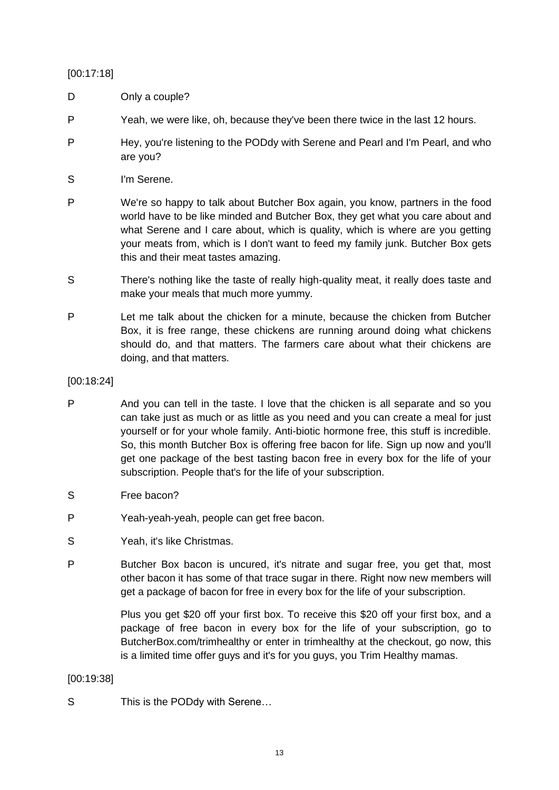[00:17:18]

- D Only a couple?
- P Yeah, we were like, oh, because they've been there twice in the last 12 hours.
- P Hey, you're listening to the PODdy with Serene and Pearl and I'm Pearl, and who are you?
- S I'm Serene.
- P We're so happy to talk about Butcher Box again, you know, partners in the food world have to be like minded and Butcher Box, they get what you care about and what Serene and I care about, which is quality, which is where are you getting your meats from, which is I don't want to feed my family junk. Butcher Box gets this and their meat tastes amazing.
- S There's nothing like the taste of really high-quality meat, it really does taste and make your meals that much more yummy.
- P Let me talk about the chicken for a minute, because the chicken from Butcher Box, it is free range, these chickens are running around doing what chickens should do, and that matters. The farmers care about what their chickens are doing, and that matters.

[00:18:24]

- P And you can tell in the taste. I love that the chicken is all separate and so you can take just as much or as little as you need and you can create a meal for just yourself or for your whole family. Anti-biotic hormone free, this stuff is incredible. So, this month Butcher Box is offering free bacon for life. Sign up now and you'll get one package of the best tasting bacon free in every box for the life of your subscription. People that's for the life of your subscription.
- S Free bacon?
- P Yeah-yeah-yeah, people can get free bacon.
- S Yeah, it's like Christmas.
- P Butcher Box bacon is uncured, it's nitrate and sugar free, you get that, most other bacon it has some of that trace sugar in there. Right now new members will get a package of bacon for free in every box for the life of your subscription.

Plus you get \$20 off your first box. To receive this \$20 off your first box, and a package of free bacon in every box for the life of your subscription, go to ButcherBox.com/trimhealthy or enter in trimhealthy at the checkout, go now, this is a limited time offer guys and it's for you guys, you Trim Healthy mamas.

[00:19:38]

S This is the PODdy with Serene...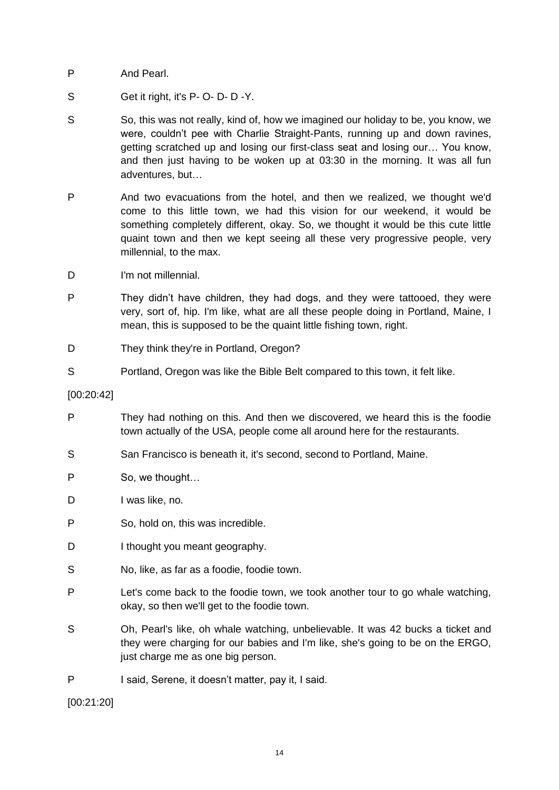- P And Pearl.
- S Get it right, it's P- O- D- D-Y.
- S So, this was not really, kind of, how we imagined our holiday to be, you know, we were, couldn't pee with Charlie Straight-Pants, running up and down ravines, getting scratched up and losing our first-class seat and losing our… You know, and then just having to be woken up at 03:30 in the morning. It was all fun adventures, but…
- P And two evacuations from the hotel, and then we realized, we thought we'd come to this little town, we had this vision for our weekend, it would be something completely different, okay. So, we thought it would be this cute little quaint town and then we kept seeing all these very progressive people, very millennial, to the max.
- D I'm not millennial.
- P They didn't have children, they had dogs, and they were tattooed, they were very, sort of, hip. I'm like, what are all these people doing in Portland, Maine, I mean, this is supposed to be the quaint little fishing town, right.
- D They think they're in Portland, Oregon?
- S Portland, Oregon was like the Bible Belt compared to this town, it felt like.

[00:20:42]

- P They had nothing on this. And then we discovered, we heard this is the foodie town actually of the USA, people come all around here for the restaurants.
- S San Francisco is beneath it, it's second, second to Portland, Maine.
- P So, we thought…
- D I was like, no.
- P So, hold on, this was incredible.
- D I thought you meant geography.
- S No, like, as far as a foodie, foodie town.
- P Let's come back to the foodie town, we took another tour to go whale watching, okay, so then we'll get to the foodie town.
- S Oh, Pearl's like, oh whale watching, unbelievable. It was 42 bucks a ticket and they were charging for our babies and I'm like, she's going to be on the ERGO, just charge me as one big person.
- P I said, Serene, it doesn't matter, pay it, I said.

[00:21:20]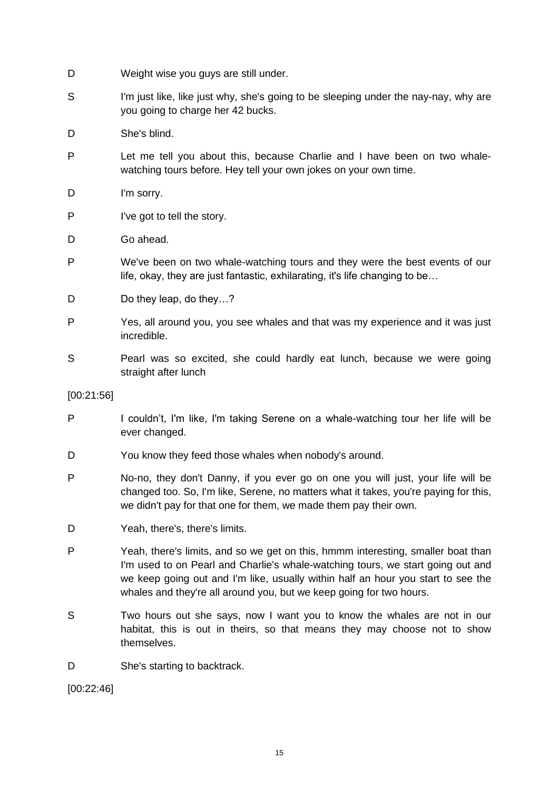- D Weight wise you guys are still under.
- S I'm just like, like just why, she's going to be sleeping under the nay-nay, why are you going to charge her 42 bucks.
- D She's blind.
- P Let me tell you about this, because Charlie and I have been on two whalewatching tours before. Hey tell your own jokes on your own time.
- D I'm sorry.
- P I've got to tell the story.
- D Go ahead.
- P We've been on two whale-watching tours and they were the best events of our life, okay, they are just fantastic, exhilarating, it's life changing to be…
- D Do they leap, do they...?
- P Yes, all around you, you see whales and that was my experience and it was just incredible.
- S Pearl was so excited, she could hardly eat lunch, because we were going straight after lunch

[00:21:56]

- P I couldn't, I'm like, I'm taking Serene on a whale-watching tour her life will be ever changed.
- D You know they feed those whales when nobody's around.
- P No-no, they don't Danny, if you ever go on one you will just, your life will be changed too. So, I'm like, Serene, no matters what it takes, you're paying for this, we didn't pay for that one for them, we made them pay their own.
- D Yeah, there's, there's limits.
- P Yeah, there's limits, and so we get on this, hmmm interesting, smaller boat than I'm used to on Pearl and Charlie's whale-watching tours, we start going out and we keep going out and I'm like, usually within half an hour you start to see the whales and they're all around you, but we keep going for two hours.
- S Two hours out she says, now I want you to know the whales are not in our habitat, this is out in theirs, so that means they may choose not to show themselves.
- D She's starting to backtrack.

[00:22:46]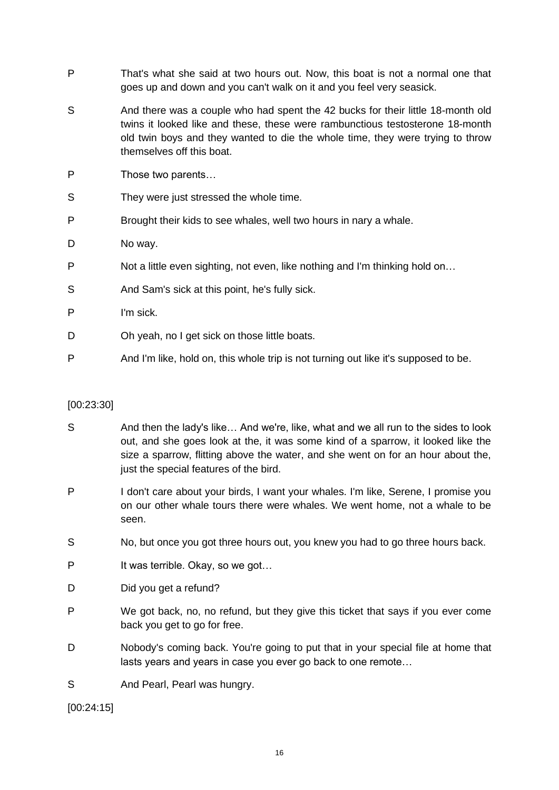- P That's what she said at two hours out. Now, this boat is not a normal one that goes up and down and you can't walk on it and you feel very seasick.
- S And there was a couple who had spent the 42 bucks for their little 18-month old twins it looked like and these, these were rambunctious testosterone 18-month old twin boys and they wanted to die the whole time, they were trying to throw themselves off this boat.
- P Those two parents…
- S They were just stressed the whole time.
- P Brought their kids to see whales, well two hours in nary a whale.
- D No way.
- P Not a little even sighting, not even, like nothing and I'm thinking hold on…
- S And Sam's sick at this point, he's fully sick.
- P I'm sick.
- D Oh yeah, no I get sick on those little boats.
- P And I'm like, hold on, this whole trip is not turning out like it's supposed to be.

## [00:23:30]

- S And then the lady's like... And we're, like, what and we all run to the sides to look out, and she goes look at the, it was some kind of a sparrow, it looked like the size a sparrow, flitting above the water, and she went on for an hour about the, just the special features of the bird.
- P I don't care about your birds, I want your whales. I'm like, Serene, I promise you on our other whale tours there were whales. We went home, not a whale to be seen.
- S No, but once you got three hours out, you knew you had to go three hours back.
- P It was terrible. Okay, so we got...
- D Did you get a refund?
- P We got back, no, no refund, but they give this ticket that says if you ever come back you get to go for free.
- D Nobody's coming back. You're going to put that in your special file at home that lasts years and years in case you ever go back to one remote…
- S And Pearl, Pearl was hungry.

[00:24:15]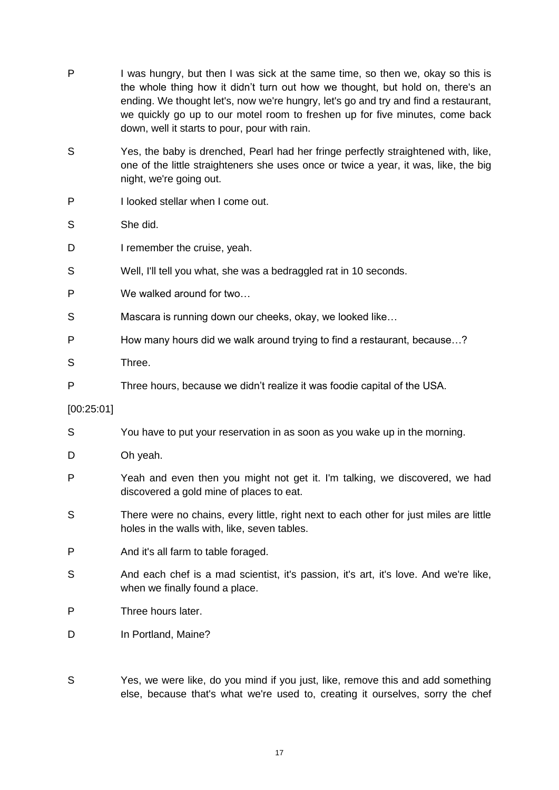| P          | I was hungry, but then I was sick at the same time, so then we, okay so this is<br>the whole thing how it didn't turn out how we thought, but hold on, there's an<br>ending. We thought let's, now we're hungry, let's go and try and find a restaurant,<br>we quickly go up to our motel room to freshen up for five minutes, come back<br>down, well it starts to pour, pour with rain. |
|------------|-------------------------------------------------------------------------------------------------------------------------------------------------------------------------------------------------------------------------------------------------------------------------------------------------------------------------------------------------------------------------------------------|
| S          | Yes, the baby is drenched, Pearl had her fringe perfectly straightened with, like,<br>one of the little straighteners she uses once or twice a year, it was, like, the big<br>night, we're going out.                                                                                                                                                                                     |
| Ρ          | I looked stellar when I come out.                                                                                                                                                                                                                                                                                                                                                         |
| S          | She did.                                                                                                                                                                                                                                                                                                                                                                                  |
| D          | I remember the cruise, yeah.                                                                                                                                                                                                                                                                                                                                                              |
| S          | Well, I'll tell you what, she was a bedraggled rat in 10 seconds.                                                                                                                                                                                                                                                                                                                         |
| P          | We walked around for two                                                                                                                                                                                                                                                                                                                                                                  |
| S          | Mascara is running down our cheeks, okay, we looked like                                                                                                                                                                                                                                                                                                                                  |
| Ρ          | How many hours did we walk around trying to find a restaurant, because?                                                                                                                                                                                                                                                                                                                   |
| S          | Three.                                                                                                                                                                                                                                                                                                                                                                                    |
| P          | Three hours, because we didn't realize it was foodie capital of the USA.                                                                                                                                                                                                                                                                                                                  |
| [00:25:01] |                                                                                                                                                                                                                                                                                                                                                                                           |
| S          | You have to put your reservation in as soon as you wake up in the morning.                                                                                                                                                                                                                                                                                                                |
| D          | Oh yeah.                                                                                                                                                                                                                                                                                                                                                                                  |
| Ρ          | Yeah and even then you might not get it. I'm talking, we discovered, we had<br>discovered a gold mine of places to eat.                                                                                                                                                                                                                                                                   |
| S          | There were no chains, every little, right next to each other for just miles are little<br>holes in the walls with, like, seven tables.                                                                                                                                                                                                                                                    |
| Ρ          | And it's all farm to table foraged.                                                                                                                                                                                                                                                                                                                                                       |
| S          | And each chef is a mad scientist, it's passion, it's art, it's love. And we're like,<br>when we finally found a place.                                                                                                                                                                                                                                                                    |
| Ρ          | Three hours later.                                                                                                                                                                                                                                                                                                                                                                        |
| D          | In Portland, Maine?                                                                                                                                                                                                                                                                                                                                                                       |
|            |                                                                                                                                                                                                                                                                                                                                                                                           |

S Yes, we were like, do you mind if you just, like, remove this and add something else, because that's what we're used to, creating it ourselves, sorry the chef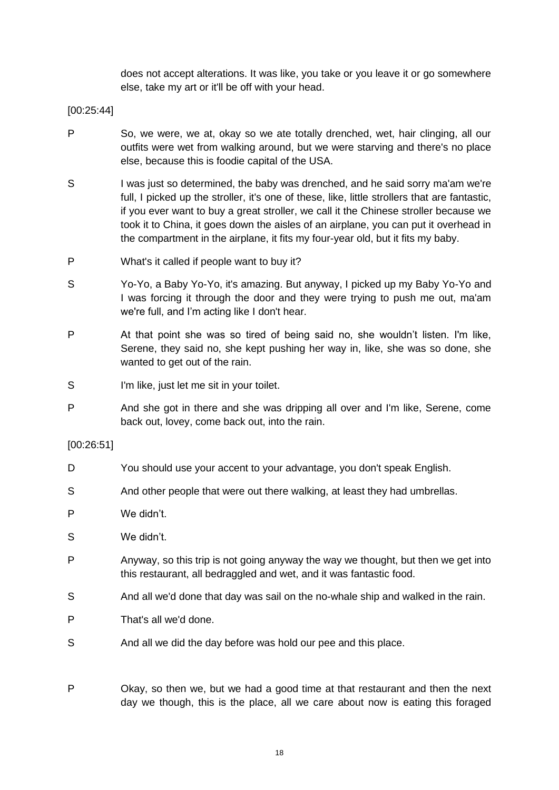does not accept alterations. It was like, you take or you leave it or go somewhere else, take my art or it'll be off with your head.

[00:25:44]

- P So, we were, we at, okay so we ate totally drenched, wet, hair clinging, all our outfits were wet from walking around, but we were starving and there's no place else, because this is foodie capital of the USA.
- S I was just so determined, the baby was drenched, and he said sorry ma'am we're full, I picked up the stroller, it's one of these, like, little strollers that are fantastic, if you ever want to buy a great stroller, we call it the Chinese stroller because we took it to China, it goes down the aisles of an airplane, you can put it overhead in the compartment in the airplane, it fits my four-year old, but it fits my baby.
- P What's it called if people want to buy it?
- S Yo-Yo, a Baby Yo-Yo, it's amazing. But anyway, I picked up my Baby Yo-Yo and I was forcing it through the door and they were trying to push me out, ma'am we're full, and I'm acting like I don't hear.
- P At that point she was so tired of being said no, she wouldn't listen. I'm like, Serene, they said no, she kept pushing her way in, like, she was so done, she wanted to get out of the rain.
- S I'm like, just let me sit in your toilet.
- P And she got in there and she was dripping all over and I'm like, Serene, come back out, lovey, come back out, into the rain.

## [00:26:51]

- D You should use your accent to your advantage, you don't speak English.
- S And other people that were out there walking, at least they had umbrellas.
- P We didn't.
- S We didn't.
- P Anyway, so this trip is not going anyway the way we thought, but then we get into this restaurant, all bedraggled and wet, and it was fantastic food.
- S And all we'd done that day was sail on the no-whale ship and walked in the rain.
- P That's all we'd done.
- S And all we did the day before was hold our pee and this place.
- P Okay, so then we, but we had a good time at that restaurant and then the next day we though, this is the place, all we care about now is eating this foraged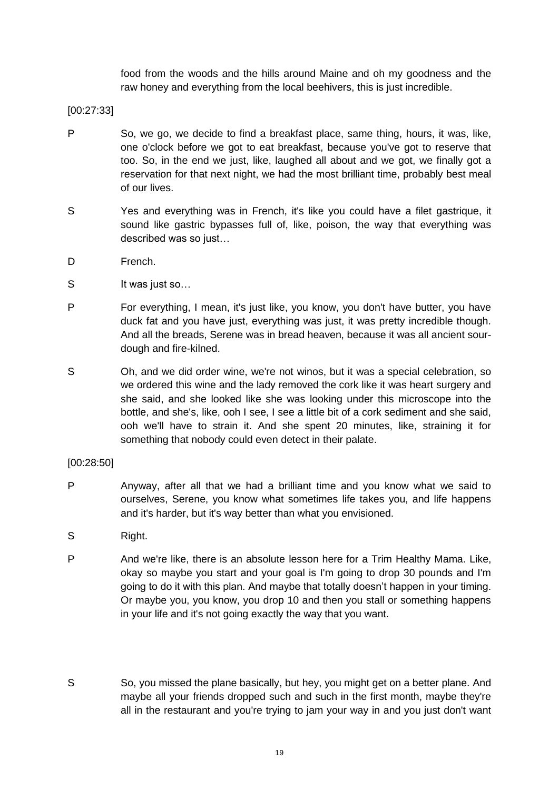food from the woods and the hills around Maine and oh my goodness and the raw honey and everything from the local beehivers, this is just incredible.

[00:27:33]

- P So, we go, we decide to find a breakfast place, same thing, hours, it was, like, one o'clock before we got to eat breakfast, because you've got to reserve that too. So, in the end we just, like, laughed all about and we got, we finally got a reservation for that next night, we had the most brilliant time, probably best meal of our lives.
- S Yes and everything was in French, it's like you could have a filet gastrique, it sound like gastric bypasses full of, like, poison, the way that everything was described was so just…
- D French.
- S It was just so...
- P For everything, I mean, it's just like, you know, you don't have butter, you have duck fat and you have just, everything was just, it was pretty incredible though. And all the breads, Serene was in bread heaven, because it was all ancient sourdough and fire-kilned.
- S Oh, and we did order wine, we're not winos, but it was a special celebration, so we ordered this wine and the lady removed the cork like it was heart surgery and she said, and she looked like she was looking under this microscope into the bottle, and she's, like, ooh I see, I see a little bit of a cork sediment and she said, ooh we'll have to strain it. And she spent 20 minutes, like, straining it for something that nobody could even detect in their palate.

[00:28:50]

- P Anyway, after all that we had a brilliant time and you know what we said to ourselves, Serene, you know what sometimes life takes you, and life happens and it's harder, but it's way better than what you envisioned.
- S Right.
- P And we're like, there is an absolute lesson here for a Trim Healthy Mama. Like, okay so maybe you start and your goal is I'm going to drop 30 pounds and I'm going to do it with this plan. And maybe that totally doesn't happen in your timing. Or maybe you, you know, you drop 10 and then you stall or something happens in your life and it's not going exactly the way that you want.
- S So, you missed the plane basically, but hey, you might get on a better plane. And maybe all your friends dropped such and such in the first month, maybe they're all in the restaurant and you're trying to jam your way in and you just don't want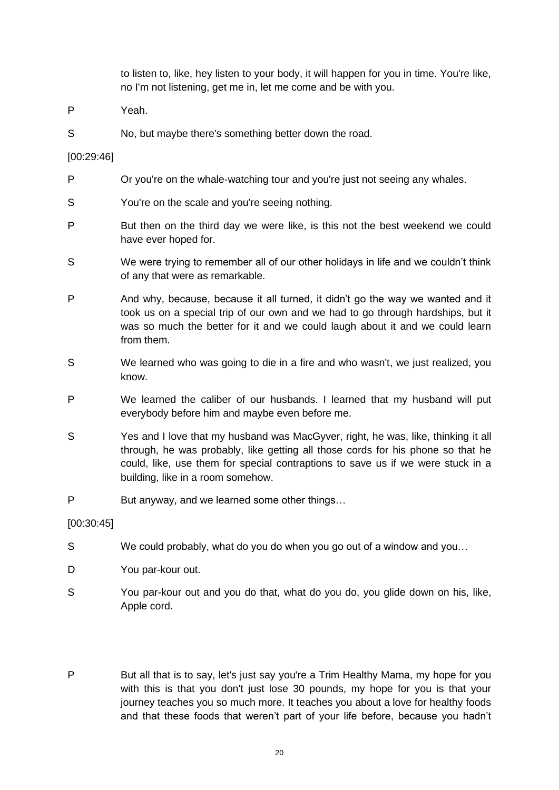to listen to, like, hey listen to your body, it will happen for you in time. You're like, no I'm not listening, get me in, let me come and be with you.

- P Yeah.
- S No, but maybe there's something better down the road.

[00:29:46]

- P Or you're on the whale-watching tour and you're just not seeing any whales.
- S You're on the scale and you're seeing nothing.
- P But then on the third day we were like, is this not the best weekend we could have ever hoped for.
- S We were trying to remember all of our other holidays in life and we couldn't think of any that were as remarkable.
- P And why, because, because it all turned, it didn't go the way we wanted and it took us on a special trip of our own and we had to go through hardships, but it was so much the better for it and we could laugh about it and we could learn from them.
- S We learned who was going to die in a fire and who wasn't, we just realized, you know.
- P We learned the caliber of our husbands. I learned that my husband will put everybody before him and maybe even before me.
- S Yes and I love that my husband was MacGyver, right, he was, like, thinking it all through, he was probably, like getting all those cords for his phone so that he could, like, use them for special contraptions to save us if we were stuck in a building, like in a room somehow.
- P But anyway, and we learned some other things…

[00:30:45]

- S We could probably, what do you do when you go out of a window and you…
- D You par-kour out.
- S You par-kour out and you do that, what do you do, you glide down on his, like, Apple cord.
- P But all that is to say, let's just say you're a Trim Healthy Mama, my hope for you with this is that you don't just lose 30 pounds, my hope for you is that your journey teaches you so much more. It teaches you about a love for healthy foods and that these foods that weren't part of your life before, because you hadn't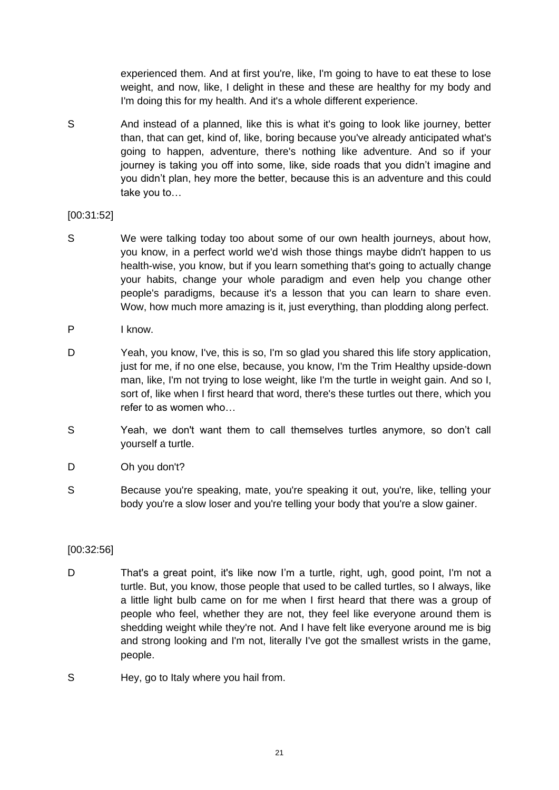experienced them. And at first you're, like, I'm going to have to eat these to lose weight, and now, like, I delight in these and these are healthy for my body and I'm doing this for my health. And it's a whole different experience.

S And instead of a planned, like this is what it's going to look like journey, better than, that can get, kind of, like, boring because you've already anticipated what's going to happen, adventure, there's nothing like adventure. And so if your journey is taking you off into some, like, side roads that you didn't imagine and you didn't plan, hey more the better, because this is an adventure and this could take you to…

## [00:31:52]

- S We were talking today too about some of our own health journeys, about how, you know, in a perfect world we'd wish those things maybe didn't happen to us health-wise, you know, but if you learn something that's going to actually change your habits, change your whole paradigm and even help you change other people's paradigms, because it's a lesson that you can learn to share even. Wow, how much more amazing is it, just everything, than plodding along perfect.
- P I know.
- D Yeah, you know, I've, this is so, I'm so glad you shared this life story application, just for me, if no one else, because, you know, I'm the Trim Healthy upside-down man, like, I'm not trying to lose weight, like I'm the turtle in weight gain. And so I, sort of, like when I first heard that word, there's these turtles out there, which you refer to as women who…
- S Yeah, we don't want them to call themselves turtles anymore, so don't call yourself a turtle.
- D Oh you don't?
- S Because you're speaking, mate, you're speaking it out, you're, like, telling your body you're a slow loser and you're telling your body that you're a slow gainer.

## [00:32:56]

- D That's a great point, it's like now I'm a turtle, right, ugh, good point, I'm not a turtle. But, you know, those people that used to be called turtles, so I always, like a little light bulb came on for me when I first heard that there was a group of people who feel, whether they are not, they feel like everyone around them is shedding weight while they're not. And I have felt like everyone around me is big and strong looking and I'm not, literally I've got the smallest wrists in the game, people.
- S Hey, go to Italy where you hail from.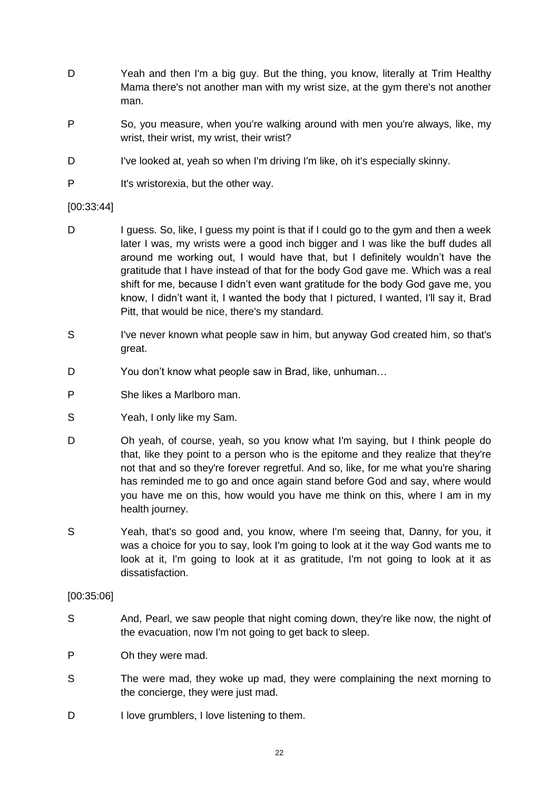- D Yeah and then I'm a big guy. But the thing, you know, literally at Trim Healthy Mama there's not another man with my wrist size, at the gym there's not another man.
- P So, you measure, when you're walking around with men you're always, like, my wrist, their wrist, my wrist, their wrist?
- D I've looked at, yeah so when I'm driving I'm like, oh it's especially skinny.
- P It's wristorexia, but the other way.

## [00:33:44]

- D I guess. So, like, I guess my point is that if I could go to the gym and then a week later I was, my wrists were a good inch bigger and I was like the buff dudes all around me working out, I would have that, but I definitely wouldn't have the gratitude that I have instead of that for the body God gave me. Which was a real shift for me, because I didn't even want gratitude for the body God gave me, you know, I didn't want it, I wanted the body that I pictured, I wanted, I'll say it, Brad Pitt, that would be nice, there's my standard.
- S I've never known what people saw in him, but anyway God created him, so that's great.
- D You don't know what people saw in Brad, like, unhuman...
- P She likes a Marlboro man.
- S Yeah, I only like my Sam.
- D Oh yeah, of course, yeah, so you know what I'm saying, but I think people do that, like they point to a person who is the epitome and they realize that they're not that and so they're forever regretful. And so, like, for me what you're sharing has reminded me to go and once again stand before God and say, where would you have me on this, how would you have me think on this, where I am in my health journey.
- S Yeah, that's so good and, you know, where I'm seeing that, Danny, for you, it was a choice for you to say, look I'm going to look at it the way God wants me to look at it, I'm going to look at it as gratitude, I'm not going to look at it as dissatisfaction.

## [00:35:06]

- S And, Pearl, we saw people that night coming down, they're like now, the night of the evacuation, now I'm not going to get back to sleep.
- P Oh they were mad.
- S The were mad, they woke up mad, they were complaining the next morning to the concierge, they were just mad.
- D I love grumblers, I love listening to them.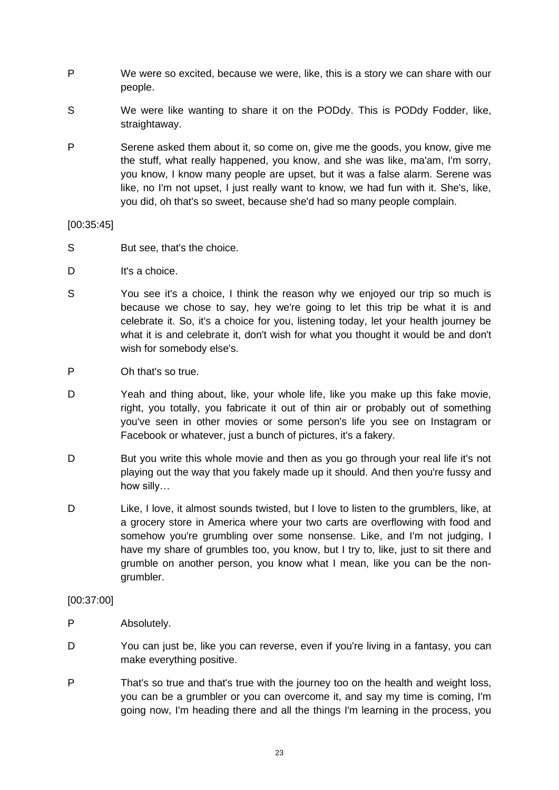- P We were so excited, because we were, like, this is a story we can share with our people.
- S We were like wanting to share it on the PODdy. This is PODdy Fodder, like, straightaway.
- P Serene asked them about it, so come on, give me the goods, you know, give me the stuff, what really happened, you know, and she was like, ma'am, I'm sorry, you know, I know many people are upset, but it was a false alarm. Serene was like, no I'm not upset, I just really want to know, we had fun with it. She's, like, you did, oh that's so sweet, because she'd had so many people complain.

## [00:35:45]

- S But see, that's the choice.
- D It's a choice.
- S You see it's a choice, I think the reason why we enjoyed our trip so much is because we chose to say, hey we're going to let this trip be what it is and celebrate it. So, it's a choice for you, listening today, let your health journey be what it is and celebrate it, don't wish for what you thought it would be and don't wish for somebody else's.
- P Oh that's so true.
- D Yeah and thing about, like, your whole life, like you make up this fake movie, right, you totally, you fabricate it out of thin air or probably out of something you've seen in other movies or some person's life you see on Instagram or Facebook or whatever, just a bunch of pictures, it's a fakery.
- D But you write this whole movie and then as you go through your real life it's not playing out the way that you fakely made up it should. And then you're fussy and how silly…
- D Like, I love, it almost sounds twisted, but I love to listen to the grumblers, like, at a grocery store in America where your two carts are overflowing with food and somehow you're grumbling over some nonsense. Like, and I'm not judging, I have my share of grumbles too, you know, but I try to, like, just to sit there and grumble on another person, you know what I mean, like you can be the nongrumbler.

## [00:37:00]

- P Absolutely.
- D You can just be, like you can reverse, even if you're living in a fantasy, you can make everything positive.
- P That's so true and that's true with the journey too on the health and weight loss, you can be a grumbler or you can overcome it, and say my time is coming, I'm going now, I'm heading there and all the things I'm learning in the process, you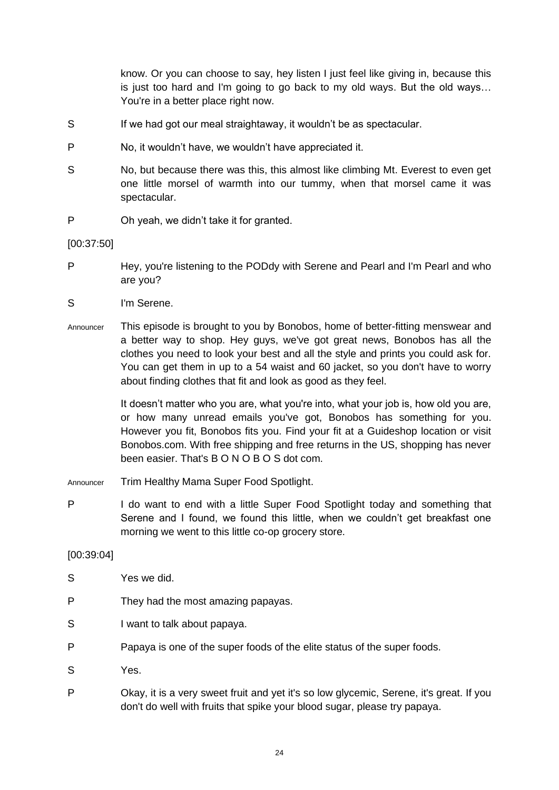know. Or you can choose to say, hey listen I just feel like giving in, because this is just too hard and I'm going to go back to my old ways. But the old ways… You're in a better place right now.

- S If we had got our meal straightaway, it wouldn't be as spectacular.
- P No, it wouldn't have, we wouldn't have appreciated it.
- S No, but because there was this, this almost like climbing Mt. Everest to even get one little morsel of warmth into our tummy, when that morsel came it was spectacular.
- P Oh yeah, we didn't take it for granted.

## [00:37:50]

- P Hey, you're listening to the PODdy with Serene and Pearl and I'm Pearl and who are you?
- S I'm Serene.
- Announcer This episode is brought to you by Bonobos, home of better-fitting menswear and a better way to shop. Hey guys, we've got great news, Bonobos has all the clothes you need to look your best and all the style and prints you could ask for. You can get them in up to a 54 waist and 60 jacket, so you don't have to worry about finding clothes that fit and look as good as they feel.

It doesn't matter who you are, what you're into, what your job is, how old you are, or how many unread emails you've got, Bonobos has something for you. However you fit, Bonobos fits you. Find your fit at a Guideshop location or visit Bonobos.com. With free shipping and free returns in the US, shopping has never been easier. That's B O N O B O S dot com.

- Announcer Trim Healthy Mama Super Food Spotlight.
- P I do want to end with a little Super Food Spotlight today and something that Serene and I found, we found this little, when we couldn't get breakfast one morning we went to this little co-op grocery store.

## [00:39:04]

- S Yes we did.
- P They had the most amazing papayas.
- S I want to talk about papaya.
- P Papaya is one of the super foods of the elite status of the super foods.
- S Yes.
- P Okay, it is a very sweet fruit and yet it's so low glycemic, Serene, it's great. If you don't do well with fruits that spike your blood sugar, please try papaya.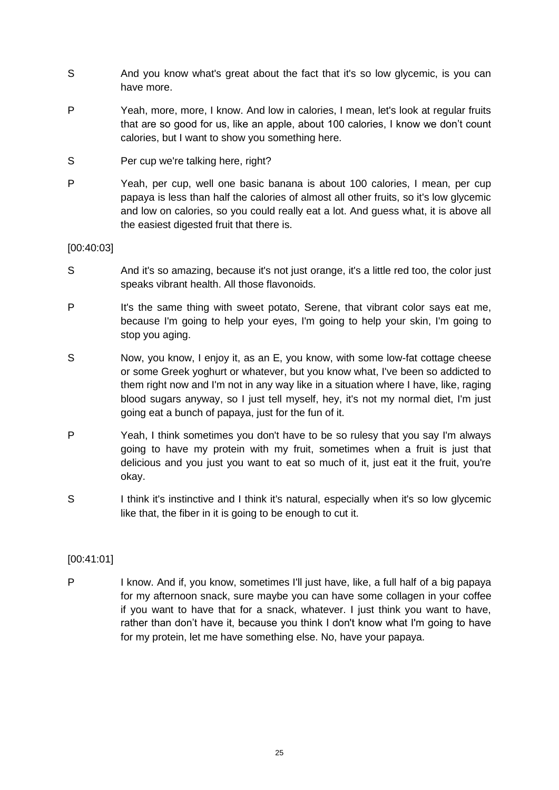- S And you know what's great about the fact that it's so low glycemic, is you can have more.
- P Yeah, more, more, I know. And low in calories, I mean, let's look at regular fruits that are so good for us, like an apple, about 100 calories, I know we don't count calories, but I want to show you something here.
- S Per cup we're talking here, right?
- P Yeah, per cup, well one basic banana is about 100 calories, I mean, per cup papaya is less than half the calories of almost all other fruits, so it's low glycemic and low on calories, so you could really eat a lot. And guess what, it is above all the easiest digested fruit that there is.

[00:40:03]

- S And it's so amazing, because it's not just orange, it's a little red too, the color just speaks vibrant health. All those flavonoids.
- P It's the same thing with sweet potato, Serene, that vibrant color says eat me, because I'm going to help your eyes, I'm going to help your skin, I'm going to stop you aging.
- S Now, you know, I enjoy it, as an E, you know, with some low-fat cottage cheese or some Greek yoghurt or whatever, but you know what, I've been so addicted to them right now and I'm not in any way like in a situation where I have, like, raging blood sugars anyway, so I just tell myself, hey, it's not my normal diet, I'm just going eat a bunch of papaya, just for the fun of it.
- P Yeah, I think sometimes you don't have to be so rulesy that you say I'm always going to have my protein with my fruit, sometimes when a fruit is just that delicious and you just you want to eat so much of it, just eat it the fruit, you're okay.
- S I think it's instinctive and I think it's natural, especially when it's so low glycemic like that, the fiber in it is going to be enough to cut it.

# [00:41:01]

P I know. And if, you know, sometimes I'll just have, like, a full half of a big papaya for my afternoon snack, sure maybe you can have some collagen in your coffee if you want to have that for a snack, whatever. I just think you want to have, rather than don't have it, because you think I don't know what I'm going to have for my protein, let me have something else. No, have your papaya.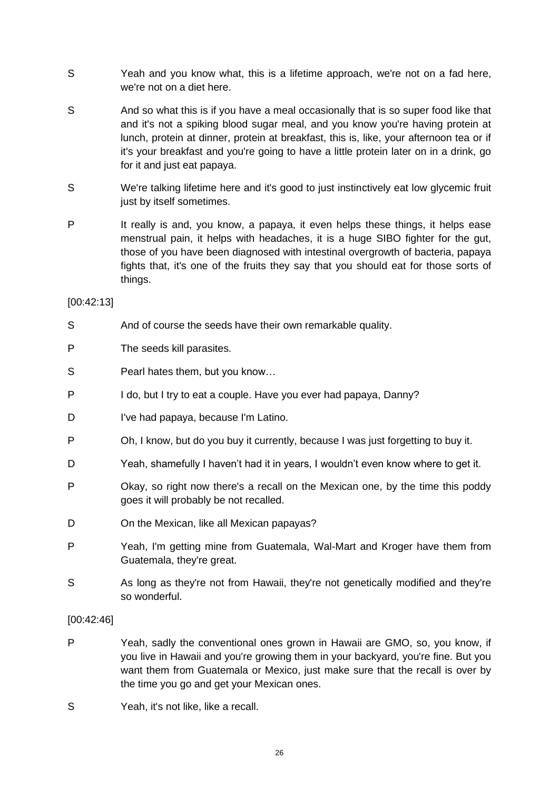- S Yeah and you know what, this is a lifetime approach, we're not on a fad here, we're not on a diet here.
- S And so what this is if you have a meal occasionally that is so super food like that and it's not a spiking blood sugar meal, and you know you're having protein at lunch, protein at dinner, protein at breakfast, this is, like, your afternoon tea or if it's your breakfast and you're going to have a little protein later on in a drink, go for it and just eat papaya.
- S We're talking lifetime here and it's good to just instinctively eat low glycemic fruit just by itself sometimes.
- P It really is and, you know, a papaya, it even helps these things, it helps ease menstrual pain, it helps with headaches, it is a huge SIBO fighter for the gut, those of you have been diagnosed with intestinal overgrowth of bacteria, papaya fights that, it's one of the fruits they say that you should eat for those sorts of things.

[00:42:13]

- S And of course the seeds have their own remarkable quality.
- P The seeds kill parasites.
- S Pearl hates them, but you know...
- P I do, but I try to eat a couple. Have you ever had papaya, Danny?
- D I've had papaya, because I'm Latino.
- P Oh, I know, but do you buy it currently, because I was just forgetting to buy it.
- D Yeah, shamefully I haven't had it in years, I wouldn't even know where to get it.
- P Okay, so right now there's a recall on the Mexican one, by the time this poddy goes it will probably be not recalled.
- D **On the Mexican, like all Mexican papayas?**
- P Yeah, I'm getting mine from Guatemala, Wal-Mart and Kroger have them from Guatemala, they're great.
- S As long as they're not from Hawaii, they're not genetically modified and they're so wonderful.

## [00:42:46]

- P Yeah, sadly the conventional ones grown in Hawaii are GMO, so, you know, if you live in Hawaii and you're growing them in your backyard, you're fine. But you want them from Guatemala or Mexico, just make sure that the recall is over by the time you go and get your Mexican ones.
- S Yeah, it's not like, like a recall.